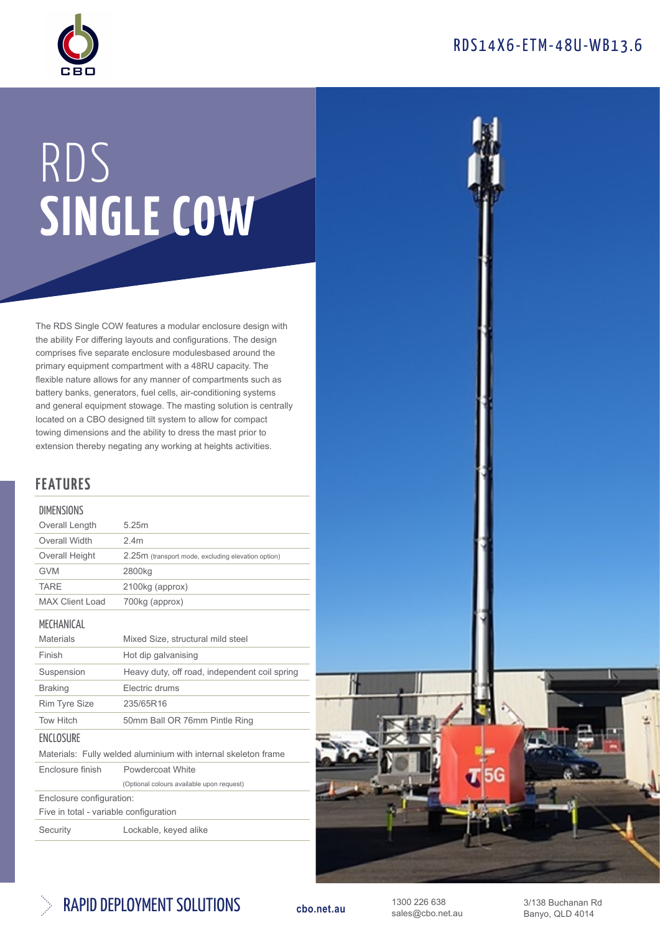



# RDS SINGLE COW

The RDS Single COW features a modular enclosure design with the ability For differing layouts and configurations. The design comprises five separate enclosure modulesbased around the primary equipment compartment with a 48RU capacity. The flexible nature allows for any manner of compartments such as battery banks, generators, fuel cells, air-conditioning systems and general equipment stowage. The masting solution is centrally located on a CBO designed tilt system to allow for compact towing dimensions and the ability to dress the mast prior to extension thereby negating any working at heights activities.

## FEATURES

#### **DIMENSIONS**

| Overall Length                                                 | 5.25m                                              |  |
|----------------------------------------------------------------|----------------------------------------------------|--|
| Overall Width                                                  | 2.4 <sub>m</sub>                                   |  |
| Overall Height                                                 | 2.25m (transport mode, excluding elevation option) |  |
| <b>GVM</b>                                                     | 2800kg                                             |  |
| <b>TARE</b>                                                    | 2100kg (approx)                                    |  |
| <b>MAX Client Load</b>                                         | 700kg (approx)                                     |  |
| MECHANICAL                                                     |                                                    |  |
| <b>Materials</b>                                               | Mixed Size, structural mild steel                  |  |
| Finish                                                         | Hot dip galvanising                                |  |
| Suspension                                                     | Heavy duty, off road, independent coil spring      |  |
| <b>Braking</b>                                                 | Flectric drums                                     |  |
| <b>Rim Tyre Size</b>                                           | 235/65R16                                          |  |
| <b>Tow Hitch</b>                                               | 50mm Ball OR 76mm Pintle Ring                      |  |
| ENCLOSURE                                                      |                                                    |  |
| Materials: Fully welded aluminium with internal skeleton frame |                                                    |  |
| Fnclosure finish                                               | Powdercoat White                                   |  |
|                                                                | (Optional colours available upon request)          |  |

Enclosure configuration:

Five in total - variable configuration

Security Lockable, keyed alike





1300 226 638 sales@cbo.net.au 3/138 Buchanan Rd Banyo, QLD 4014